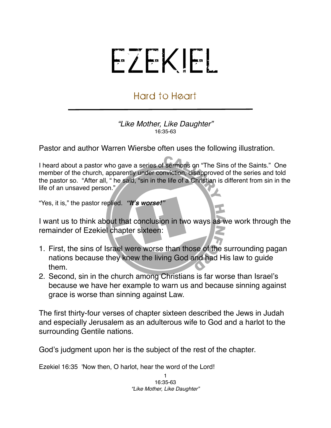## EZEKIEL

## Hard to Heart

*"Like Mother, Like Daughter"* 16:35-63

Pastor and author Warren Wiersbe often uses the following illustration.

I heard about a pastor who gave a series of sermons on "The Sins of the Saints." One member of the church, apparently under conviction, disapproved of the series and told the pastor so. "After all, " he said, "sin in the life of a Christian is different from sin in the life of an unsaved person."

"Yes, it is," the pastor replied. *"It***'***s worse!"*

I want us to think about that conclusion in two ways as we work through the remainder of Ezekiel chapter sixteen:

- 1. First, the sins of Israel were worse than those of the surrounding pagan nations because they knew the living God and had His law to guide them.
- 2. Second, sin in the church among Christians is far worse than Israel's because we have her example to warn us and because sinning against grace is worse than sinning against Law.

The first thirty-four verses of chapter sixteen described the Jews in Judah and especially Jerusalem as an adulterous wife to God and a harlot to the surrounding Gentile nations.

God's judgment upon her is the subject of the rest of the chapter.

Ezekiel 16:35 'Now then, O harlot, hear the word of the Lord!

1 16:35-63 *"Like Mother, Like Daughter"*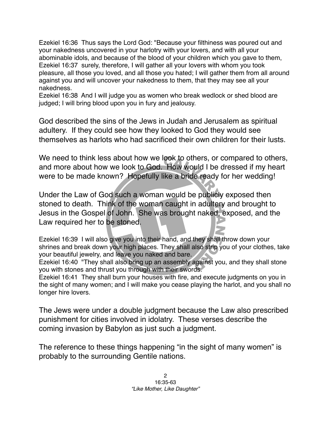Ezekiel 16:36 Thus says the Lord God: "Because your filthiness was poured out and your nakedness uncovered in your harlotry with your lovers, and with all your abominable idols, and because of the blood of your children which you gave to them, Ezekiel 16:37 surely, therefore, I will gather all your lovers with whom you took pleasure, all those you loved, and all those you hated; I will gather them from all around against you and will uncover your nakedness to them, that they may see all your nakedness.

Ezekiel 16:38 And I will judge you as women who break wedlock or shed blood are judged; I will bring blood upon you in fury and jealousy.

God described the sins of the Jews in Judah and Jerusalem as spiritual adultery. If they could see how they looked to God they would see themselves as harlots who had sacrificed their own children for their lusts.

We need to think less about how we look to others, or compared to others, and more about how we look to God. How would I be dressed if my heart were to be made known? Hopefully like a bride ready for her wedding!

Under the Law of God such a woman would be publicly exposed then stoned to death. Think of the woman caught in adultery and brought to Jesus in the Gospel of John. She was brought naked, exposed, and the Law required her to be stoned.

Ezekiel 16:39 I will also give you into their hand, and they shall throw down your shrines and break down your high places. They shall also strip you of your clothes, take your beautiful jewelry, and leave you naked and bare.

Ezekiel 16:40 "They shall also bring up an assembly against you, and they shall stone you with stones and thrust you through with their swords.

Ezekiel 16:41 They shall burn your houses with fire, and execute judgments on you in the sight of many women; and I will make you cease playing the harlot, and you shall no longer hire lovers.

The Jews were under a double judgment because the Law also prescribed punishment for cities involved in idolatry. These verses describe the coming invasion by Babylon as just such a judgment.

The reference to these things happening "in the sight of many women" is probably to the surrounding Gentile nations.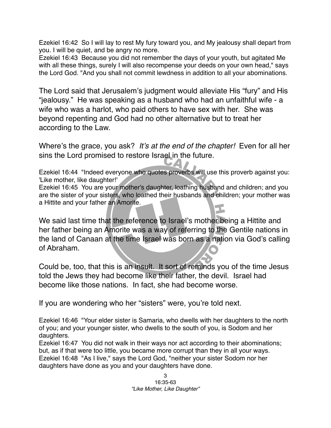Ezekiel 16:42 So I will lay to rest My fury toward you, and My jealousy shall depart from you. I will be quiet, and be angry no more.

Ezekiel 16:43 Because you did not remember the days of your youth, but agitated Me with all these things, surely I will also recompense your deeds on your own head," says the Lord God. "And you shall not commit lewdness in addition to all your abominations.

The Lord said that Jerusalem's judgment would alleviate His "fury" and His "jealousy." He was speaking as a husband who had an unfaithful wife - a wife who was a harlot, who paid others to have sex with her. She was beyond repenting and God had no other alternative but to treat her according to the Law.

Where's the grace, you ask? *It*'*s at the end of the chapter!* Even for all her sins the Lord promised to restore Israel in the future.

Ezekiel 16:44 "Indeed everyone who quotes proverbs will use this proverb against you: 'Like mother, like daughter!'

Ezekiel 16:45 You are your mother's daughter, loathing husband and children; and you are the sister of your sisters, who loathed their husbands and children; your mother was a Hittite and your father an Amorite.

We said last time that the reference to Israel's mother being a Hittite and her father being an Amorite was a way of referring to the Gentile nations in the land of Canaan at the time Israel was born as a nation via God's calling of Abraham.

Could be, too, that this is an insult. It sort of reminds you of the time Jesus told the Jews they had become like their father, the devil. Israel had become like those nations. In fact, she had become worse.

If you are wondering who her "sisters" were, you're told next.

Ezekiel 16:46 "Your elder sister is Samaria, who dwells with her daughters to the north of you; and your younger sister, who dwells to the south of you, is Sodom and her daughters.

Ezekiel 16:47 You did not walk in their ways nor act according to their abominations; but, as if that were too little, you became more corrupt than they in all your ways. Ezekiel 16:48 "As I live," says the Lord God, "neither your sister Sodom nor her daughters have done as you and your daughters have done.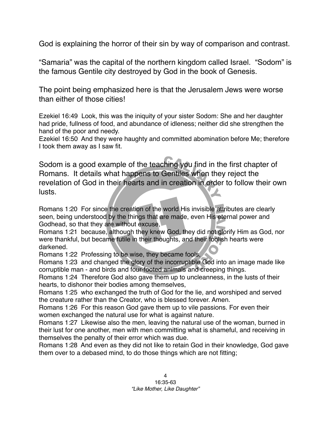God is explaining the horror of their sin by way of comparison and contrast.

"Samaria" was the capital of the northern kingdom called Israel. "Sodom" is the famous Gentile city destroyed by God in the book of Genesis.

The point being emphasized here is that the Jerusalem Jews were worse than either of those cities!

Ezekiel 16:49 Look, this was the iniquity of your sister Sodom: She and her daughter had pride, fullness of food, and abundance of idleness; neither did she strengthen the hand of the poor and needy.

Ezekiel 16:50 And they were haughty and committed abomination before Me; therefore I took them away as I saw fit.

Sodom is a good example of the teaching you find in the first chapter of Romans. It details what happens to Gentiles when they reject the revelation of God in their hearts and in creation in order to follow their own lusts.

Romans 1:20 For since the creation of the world His invisible attributes are clearly seen, being understood by the things that are made, even His eternal power and Godhead, so that they are without excuse,

Romans 1:21 because, although they knew God, they did not glorify Him as God, nor were thankful, but became futile in their thoughts, and their foolish hearts were darkened.

Romans 1:22 Professing to be wise, they became fools,

Romans 1:23 and changed the glory of the incorruptible God into an image made like corruptible man - and birds and four-footed animals and creeping things.

Romans 1:24 Therefore God also gave them up to uncleanness, in the lusts of their hearts, to dishonor their bodies among themselves,

Romans 1:25 who exchanged the truth of God for the lie, and worshiped and served the creature rather than the Creator, who is blessed forever. Amen.

Romans 1:26 For this reason God gave them up to vile passions. For even their women exchanged the natural use for what is against nature.

Romans 1:27 Likewise also the men, leaving the natural use of the woman, burned in their lust for one another, men with men committing what is shameful, and receiving in themselves the penalty of their error which was due.

Romans 1:28 And even as they did not like to retain God in their knowledge, God gave them over to a debased mind, to do those things which are not fitting;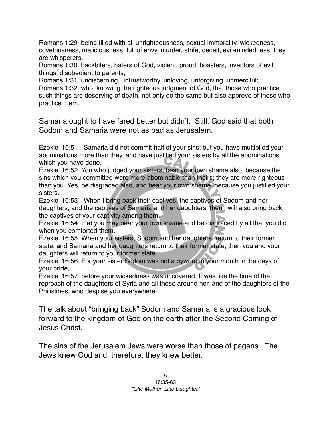Romans 1:29 being filled with all unrighteousness, sexual immorality, wickedness, covetousness, maliciousness; full of envy, murder, strife, deceit, evil-mindedness; they are whisperers,

Romans 1:30 backbiters, haters of God, violent, proud, boasters, inventors of evil things, disobedient to parents,

Romans 1:31 undiscerning, untrustworthy, unloving, unforgiving, unmerciful; Romans 1:32 who, knowing the righteous judgment of God, that those who practice such things are deserving of death, not only do the same but also approve of those who practice them.

Samaria ought to have fared better but didn't. Still, God said that both Sodom and Samaria were not as bad as Jerusalem.

Ezekiel 16:51 "Samaria did not commit half of your sins; but you have multiplied your abominations more than they, and have justified your sisters by all the abominations which you have done.

Ezekiel 16:52 You who judged your sisters, bear your own shame also, because the sins which you committed were more abominable than theirs; they are more righteous than you. Yes, be disgraced also, and bear your own shame, because you justified your sisters.

Ezekiel 16:53 "When I bring back their captives, the captives of Sodom and her daughters, and the captives of Samaria and her daughters, then I will also bring back the captives of your captivity among them,

Ezekiel 16:54 that you may bear your own shame and be disgraced by all that you did when you comforted them.

Ezekiel 16:55 When your sisters, Sodom and her daughters, return to their former state, and Samaria and her daughters return to their former state, then you and your daughters will return to your former state.

Ezekiel 16:56 For your sister Sodom was not a byword in your mouth in the days of your pride,

Ezekiel 16:57 before your wickedness was uncovered. It was like the time of the reproach of the daughters of Syria and all those around her, and of the daughters of the Philistines, who despise you everywhere.

The talk about "bringing back" Sodom and Samaria is a gracious look forward to the kingdom of God on the earth after the Second Coming of Jesus Christ.

The sins of the Jerusalem Jews were worse than those of pagans. The Jews knew God and, therefore, they knew better.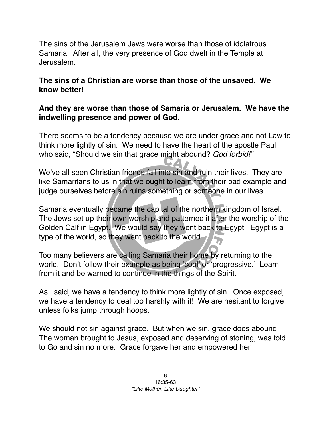The sins of the Jerusalem Jews were worse than those of idolatrous Samaria. After all, the very presence of God dwelt in the Temple at Jerusalem.

## **The sins of a Christian are worse than those of the unsaved. We know better!**

## **And they are worse than those of Samaria or Jerusalem. We have the indwelling presence and power of God.**

There seems to be a tendency because we are under grace and not Law to think more lightly of sin. We need to have the heart of the apostle Paul who said, "Should we sin that grace might abound? *God forbid!"*

We've all seen Christian friends fall into sin and ruin their lives. They are like Samaritans to us in that we ought to learn from their bad example and judge ourselves before sin ruins something or someone in our lives.

Samaria eventually became the capital of the northern kingdom of Israel. The Jews set up their own worship and patterned it after the worship of the Golden Calf in Egypt. We would say they went back to Egypt. Egypt is a type of the world, so they went back to the world.

Too many believers are calling Samaria their home by returning to the world. Don't follow their example as being 'cool' or 'progressive.' Learn from it and be warned to continue in the things of the Spirit.

As I said, we have a tendency to think more lightly of sin. Once exposed, we have a tendency to deal too harshly with it! We are hesitant to forgive unless folks jump through hoops.

We should not sin against grace. But when we sin, grace does abound! The woman brought to Jesus, exposed and deserving of stoning, was told to Go and sin no more. Grace forgave her and empowered her.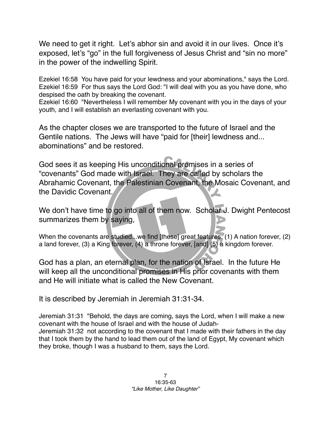We need to get it right. Let's abhor sin and avoid it in our lives. Once it's exposed, let's "go" in the full forgiveness of Jesus Christ and "sin no more" in the power of the indwelling Spirit.

Ezekiel 16:58 You have paid for your lewdness and your abominations," says the Lord. Ezekiel 16:59 For thus says the Lord God: "I will deal with you as you have done, who despised the oath by breaking the covenant.

Ezekiel 16:60 "Nevertheless I will remember My covenant with you in the days of your youth, and I will establish an everlasting covenant with you.

As the chapter closes we are transported to the future of Israel and the Gentile nations. The Jews will have "paid for [their] lewdness and... abominations" and be restored.

God sees it as keeping His unconditional promises in a series of "covenants" God made with Israel. They are called by scholars the Abrahamic Covenant, the Palestinian Covenant, the Mosaic Covenant, and the Davidic Covenant.

We don't have time to go into all of them now. Scholar J. Dwight Pentecost summarizes them by saying,

When the covenants are studied...we find [these] great features: (1) A nation forever, (2) a land forever, (3) a King forever, (4) a throne forever, [and] (5) a kingdom forever.

God has a plan, an eternal plan, for the nation of Israel. In the future He will keep all the unconditional promises in His prior covenants with them and He will initiate what is called the New Covenant.

It is described by Jeremiah in Jeremiah 31:31-34.

Jeremiah 31:31 "Behold, the days are coming, says the Lord, when I will make a new covenant with the house of Israel and with the house of Judah-Jeremiah 31:32 not according to the covenant that I made with their fathers in the day that I took them by the hand to lead them out of the land of Egypt, My covenant which they broke, though I was a husband to them, says the Lord.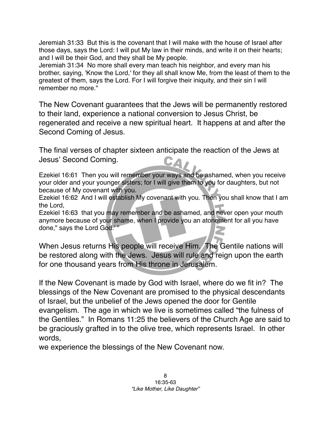Jeremiah 31:33 But this is the covenant that I will make with the house of Israel after those days, says the Lord: I will put My law in their minds, and write it on their hearts; and I will be their God, and they shall be My people.

Jeremiah 31:34 No more shall every man teach his neighbor, and every man his brother, saying, 'Know the Lord,' for they all shall know Me, from the least of them to the greatest of them, says the Lord. For I will forgive their iniquity, and their sin I will remember no more."

The New Covenant guarantees that the Jews will be permanently restored to their land, experience a national conversion to Jesus Christ, be regenerated and receive a new spiritual heart. It happens at and after the Second Coming of Jesus.

The final verses of chapter sixteen anticipate the reaction of the Jews at Jesus' Second Coming.

Ezekiel 16:61 Then you will remember your ways and be ashamed, when you receive your older and your younger sisters; for I will give them to you for daughters, but not because of My covenant with you.

Ezekiel 16:62 And I will establish My covenant with you. Then you shall know that I am the Lord,

Ezekiel 16:63 that you may remember and be ashamed, and never open your mouth anymore because of your shame, when I provide you an atonement for all you have done," says the Lord God."

When Jesus returns His people will receive Him. The Gentile nations will be restored along with the Jews. Jesus will rule and reign upon the earth for one thousand years from His throne in Jerusalem.

If the New Covenant is made by God with Israel, where do we fit in? The blessings of the New Covenant are promised to the physical descendants of Israel, but the unbelief of the Jews opened the door for Gentile evangelism. The age in which we live is sometimes called "the fulness of the Gentiles." In Romans 11:25 the believers of the Church Age are said to be graciously grafted in to the olive tree, which represents Israel. In other words,

we experience the blessings of the New Covenant now.